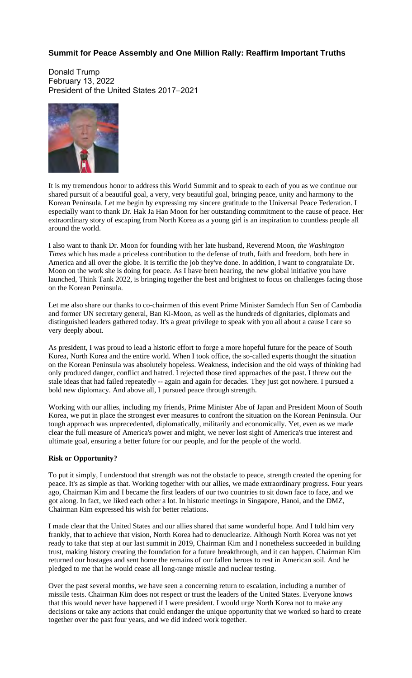## **Summit for Peace Assembly and One Million Rally: Reaffirm Important Truths**

Donald Trump February 13, 2022 President of the United States 2017–2021



It is my tremendous honor to address this World Summit and to speak to each of you as we continue our shared pursuit of a beautiful goal, a very, very beautiful goal, bringing peace, unity and harmony to the Korean Peninsula. Let me begin by expressing my sincere gratitude to the Universal Peace Federation. I especially want to thank Dr. Hak Ja Han Moon for her outstanding commitment to the cause of peace. Her extraordinary story of escaping from North Korea as a young girl is an inspiration to countless people all around the world.

I also want to thank Dr. Moon for founding with her late husband, Reverend Moon, *the Washington Times* which has made a priceless contribution to the defense of truth, faith and freedom, both here in America and all over the globe. It is terrific the job they've done. In addition, I want to congratulate Dr. Moon on the work she is doing for peace. As I have been hearing, the new global initiative you have launched, Think Tank 2022, is bringing together the best and brightest to focus on challenges facing those on the Korean Peninsula.

Let me also share our thanks to co-chairmen of this event Prime Minister Samdech Hun Sen of Cambodia and former UN secretary general, Ban Ki-Moon, as well as the hundreds of dignitaries, diplomats and distinguished leaders gathered today. It's a great privilege to speak with you all about a cause I care so very deeply about.

As president, I was proud to lead a historic effort to forge a more hopeful future for the peace of South Korea, North Korea and the entire world. When I took office, the so-called experts thought the situation on the Korean Peninsula was absolutely hopeless. Weakness, indecision and the old ways of thinking had only produced danger, conflict and hatred. I rejected those tired approaches of the past. I threw out the stale ideas that had failed repeatedly -- again and again for decades. They just got nowhere. I pursued a bold new diplomacy. And above all, I pursued peace through strength.

Working with our allies, including my friends, Prime Minister Abe of Japan and President Moon of South Korea, we put in place the strongest ever measures to confront the situation on the Korean Peninsula. Our tough approach was unprecedented, diplomatically, militarily and economically. Yet, even as we made clear the full measure of America's power and might, we never lost sight of America's true interest and ultimate goal, ensuring a better future for our people, and for the people of the world.

## **Risk or Opportunity?**

To put it simply, I understood that strength was not the obstacle to peace, strength created the opening for peace. It's as simple as that. Working together with our allies, we made extraordinary progress. Four years ago, Chairman Kim and I became the first leaders of our two countries to sit down face to face, and we got along. In fact, we liked each other a lot. In historic meetings in Singapore, Hanoi, and the DMZ, Chairman Kim expressed his wish for better relations.

I made clear that the United States and our allies shared that same wonderful hope. And I told him very frankly, that to achieve that vision, North Korea had to denuclearize. Although North Korea was not yet ready to take that step at our last summit in 2019, Chairman Kim and I nonetheless succeeded in building trust, making history creating the foundation for a future breakthrough, and it can happen. Chairman Kim returned our hostages and sent home the remains of our fallen heroes to rest in American soil. And he pledged to me that he would cease all long-range missile and nuclear testing.

Over the past several months, we have seen a concerning return to escalation, including a number of missile tests. Chairman Kim does not respect or trust the leaders of the United States. Everyone knows that this would never have happened if I were president. I would urge North Korea not to make any decisions or take any actions that could endanger the unique opportunity that we worked so hard to create together over the past four years, and we did indeed work together.